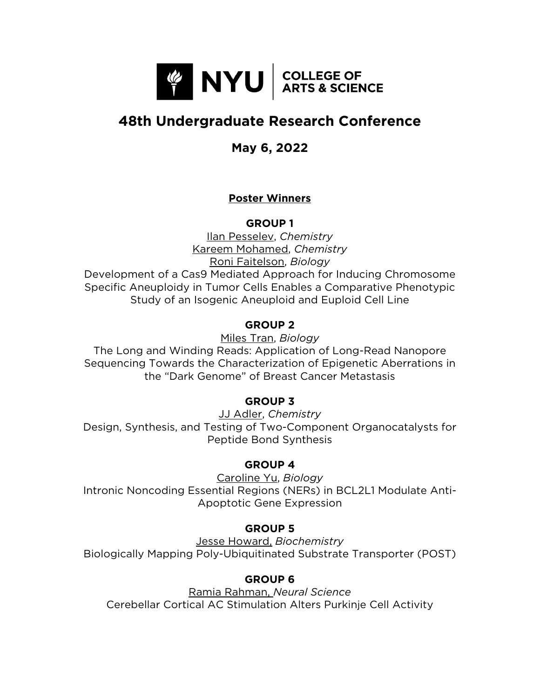

# **48th Undergraduate Research Conference**

# **May 6, 2022**

# **Poster Winners**

**GROUP 1**

Ilan Pesselev, *Chemistry* Kareem Mohamed, *Chemistry* Roni Faitelson, *Biology* Development of a Cas9 Mediated Approach for Inducing Chromosome Specific Aneuploidy in Tumor Cells Enables a Comparative Phenotypic Study of an Isogenic Aneuploid and Euploid Cell Line

# **GROUP 2**

Miles Tran, *Biology*

The Long and Winding Reads: Application of Long-Read Nanopore Sequencing Towards the Characterization of Epigenetic Aberrations in the "Dark Genome" of Breast Cancer Metastasis

# **GROUP 3**

JJ Adler, *Chemistry* Design, Synthesis, and Testing of Two-Component Organocatalysts for Peptide Bond Synthesis

# **GROUP 4**

Caroline Yu, *Biology* Intronic Noncoding Essential Regions (NERs) in BCL2L1 Modulate Anti-Apoptotic Gene Expression

# **GROUP 5**

Jesse Howard, *Biochemistry* Biologically Mapping Poly-Ubiquitinated Substrate Transporter (POST)

# **GROUP 6**

Ramia Rahman, *Neural Science* Cerebellar Cortical AC Stimulation Alters Purkinje Cell Activity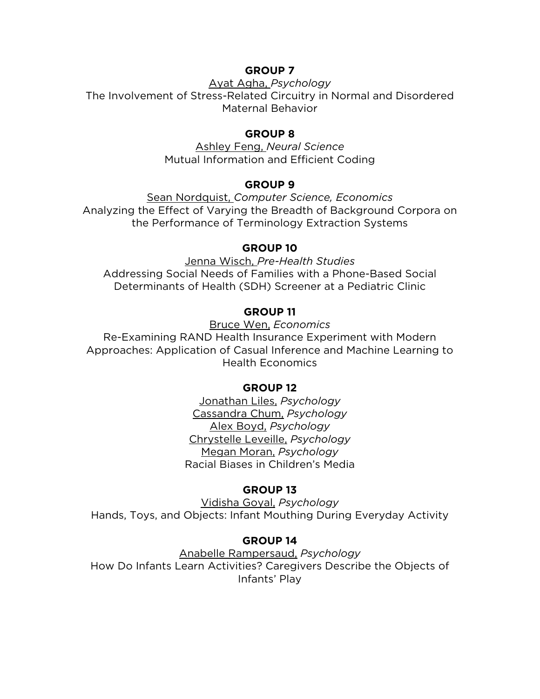### **GROUP 7**

Ayat Agha, *Psychology* The Involvement of Stress-Related Circuitry in Normal and Disordered Maternal Behavior

#### **GROUP 8**

Ashley Feng, *Neural Science* Mutual Information and Efficient Coding

#### **GROUP 9**

Sean Nordquist, *Computer Science, Economics*  Analyzing the Effect of Varying the Breadth of Background Corpora on the Performance of Terminology Extraction Systems

#### **GROUP 10**

Jenna Wisch, *Pre-Health Studies* Addressing Social Needs of Families with a Phone-Based Social Determinants of Health (SDH) Screener at a Pediatric Clinic

### **GROUP 11**

Bruce Wen, *Economics*

Re-Examining RAND Health Insurance Experiment with Modern Approaches: Application of Casual Inference and Machine Learning to Health Economics

#### **GROUP 12**

Jonathan Liles, *Psychology* Cassandra Chum, *Psychology* Alex Boyd, *Psychology* Chrystelle Leveille, *Psychology* Megan Moran, *Psychology* Racial Biases in Children's Media

#### **GROUP 13**

Vidisha Goyal, *Psychology* Hands, Toys, and Objects: Infant Mouthing During Everyday Activity

#### **GROUP 14**

Anabelle Rampersaud, *Psychology* How Do Infants Learn Activities? Caregivers Describe the Objects of Infants' Play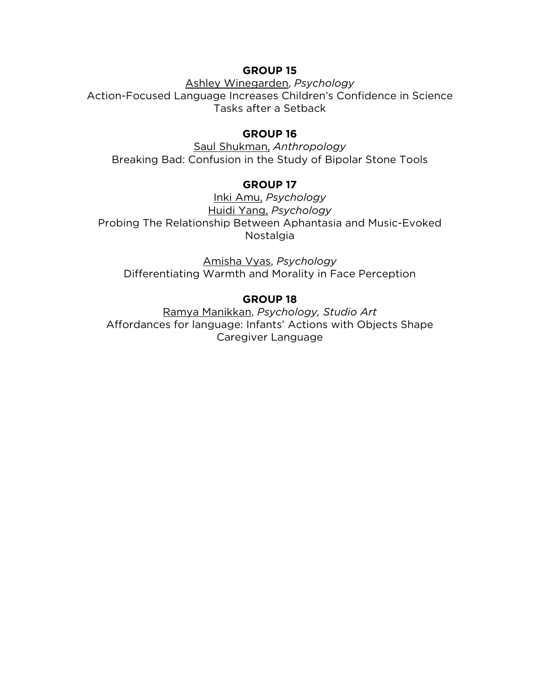#### **GROUP 15**

Ashley Winegarden, *Psychology* Action-Focused Language Increases Children's Confidence in Science Tasks after a Setback

#### **GROUP 16**

Saul Shukman, *Anthropology* Breaking Bad: Confusion in the Study of Bipolar Stone Tools

# **GROUP 17**

Inki Amu, *Psychology* Huidi Yang, *Psychology* Probing The Relationship Between Aphantasia and Music-Evoked Nostalgia

Amisha Vyas, *Psychology* Differentiating Warmth and Morality in Face Perception

# **GROUP 18**

Ramya Manikkan, *Psychology, Studio Art* Affordances for language: Infants' Actions with Objects Shape Caregiver Language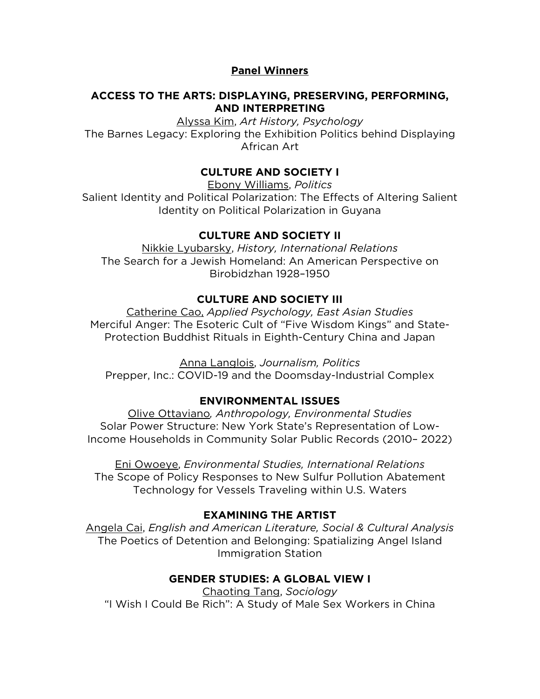### **Panel Winners**

#### **ACCESS TO THE ARTS: DISPLAYING, PRESERVING, PERFORMING, AND INTERPRETING**

Alyssa Kim, *Art History, Psychology* The Barnes Legacy: Exploring the Exhibition Politics behind Displaying African Art

### **CULTURE AND SOCIETY I**

Ebony Williams, *Politics*

Salient Identity and Political Polarization: The Effects of Altering Salient Identity on Political Polarization in Guyana

#### **CULTURE AND SOCIETY II**

Nikkie Lyubarsky, *History, International Relations* The Search for a Jewish Homeland: An American Perspective on Birobidzhan 1928–1950

#### **CULTURE AND SOCIETY III**

Catherine Cao, *Applied Psychology, East Asian Studies* Merciful Anger: The Esoteric Cult of "Five Wisdom Kings" and State-Protection Buddhist Rituals in Eighth-Century China and Japan

Anna Langlois, *Journalism, Politics* Prepper, Inc.: COVID-19 and the Doomsday-Industrial Complex

#### **ENVIRONMENTAL ISSUES**

Olive Ottaviano*, Anthropology, Environmental Studies* Solar Power Structure: New York State's Representation of Low-Income Households in Community Solar Public Records (2010– 2022)

Eni Owoeye, *Environmental Studies, International Relations* The Scope of Policy Responses to New Sulfur Pollution Abatement Technology for Vessels Traveling within U.S. Waters

#### **EXAMINING THE ARTIST**

Angela Cai, *English and American Literature, Social & Cultural Analysis* The Poetics of Detention and Belonging: Spatializing Angel Island Immigration Station

#### **GENDER STUDIES: A GLOBAL VIEW I**

Chaoting Tang, *Sociology* "I Wish I Could Be Rich": A Study of Male Sex Workers in China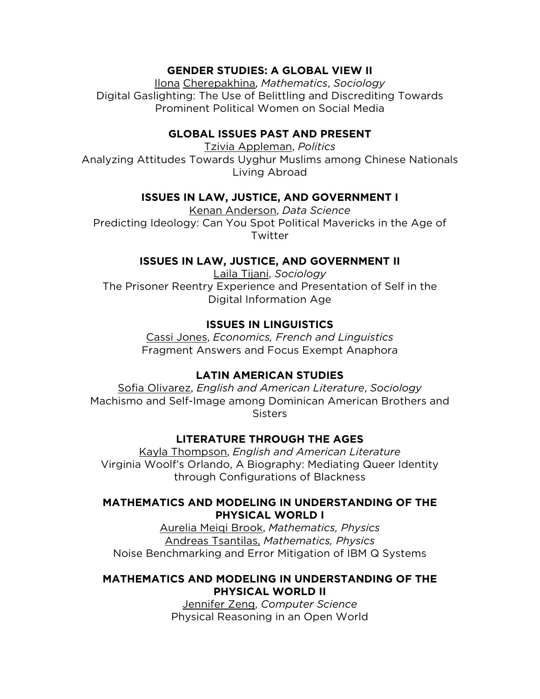### **GENDER STUDIES: A GLOBAL VIEW II**

Ilona Cherepakhina, *Mathematics*, *Sociology* Digital Gaslighting: The Use of Belittling and Discrediting Towards Prominent Political Women on Social Media

#### **GLOBAL ISSUES PAST AND PRESENT**

Tzivia Appleman, *Politics* Analyzing Attitudes Towards Uyghur Muslims among Chinese Nationals Living Abroad

#### **ISSUES IN LAW, JUSTICE, AND GOVERNMENT I**

Kenan Anderson, *Data Science* Predicting Ideology: Can You Spot Political Mavericks in the Age of Twitter

#### **ISSUES IN LAW, JUSTICE, AND GOVERNMENT II**

Laila Tijani, *Sociology* The Prisoner Reentry Experience and Presentation of Self in the Digital Information Age

# **ISSUES IN LINGUISTICS**

Cassi Jones, *Economics, French and Linguistics* Fragment Answers and Focus Exempt Anaphora

# **LATIN AMERICAN STUDIES**

Sofia Olivarez, *English and American Literature*, *Sociology* Machismo and Self-Image among Dominican American Brothers and **Sisters** 

# **LITERATURE THROUGH THE AGES**

Kayla Thompson, *English and American Literature* Virginia Woolf's Orlando, A Biography: Mediating Queer Identity through Configurations of Blackness

#### **MATHEMATICS AND MODELING IN UNDERSTANDING OF THE PHYSICAL WORLD I**

Aurelia Meiqi Brook, *Mathematics, Physics* Andreas Tsantilas, *Mathematics, Physics* Noise Benchmarking and Error Mitigation of IBM Q Systems

### **MATHEMATICS AND MODELING IN UNDERSTANDING OF THE PHYSICAL WORLD II**

Jennifer Zeng, *Computer Science* Physical Reasoning in an Open World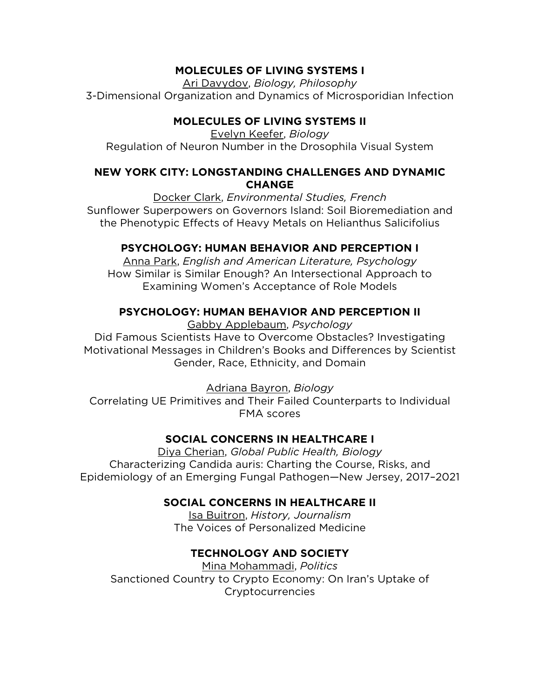# **MOLECULES OF LIVING SYSTEMS I**

Ari Davydov, *Biology, Philosophy* 3-Dimensional Organization and Dynamics of Microsporidian Infection

# **MOLECULES OF LIVING SYSTEMS II**

Evelyn Keefer, *Biology* Regulation of Neuron Number in the Drosophila Visual System

# **NEW YORK CITY: LONGSTANDING CHALLENGES AND DYNAMIC CHANGE**

Docker Clark, *Environmental Studies, French* Sunflower Superpowers on Governors Island: Soil Bioremediation and the Phenotypic Effects of Heavy Metals on Helianthus Salicifolius

# **PSYCHOLOGY: HUMAN BEHAVIOR AND PERCEPTION I**

Anna Park, *English and American Literature, Psychology* How Similar is Similar Enough? An Intersectional Approach to Examining Women's Acceptance of Role Models

# **PSYCHOLOGY: HUMAN BEHAVIOR AND PERCEPTION II**

Gabby Applebaum, *Psychology*

Did Famous Scientists Have to Overcome Obstacles? Investigating Motivational Messages in Children's Books and Differences by Scientist Gender, Race, Ethnicity, and Domain

Adriana Bayron, *Biology*

Correlating UE Primitives and Their Failed Counterparts to Individual FMA scores

# **SOCIAL CONCERNS IN HEALTHCARE I**

Diya Cherian, *Global Public Health, Biology* Characterizing Candida auris: Charting the Course, Risks, and Epidemiology of an Emerging Fungal Pathogen—New Jersey, 2017–2021

# **SOCIAL CONCERNS IN HEALTHCARE II**

Isa Buitron, *History, Journalism* The Voices of Personalized Medicine

# **TECHNOLOGY AND SOCIETY**

Mina Mohammadi, *Politics* Sanctioned Country to Crypto Economy: On Iran's Uptake of Cryptocurrencies